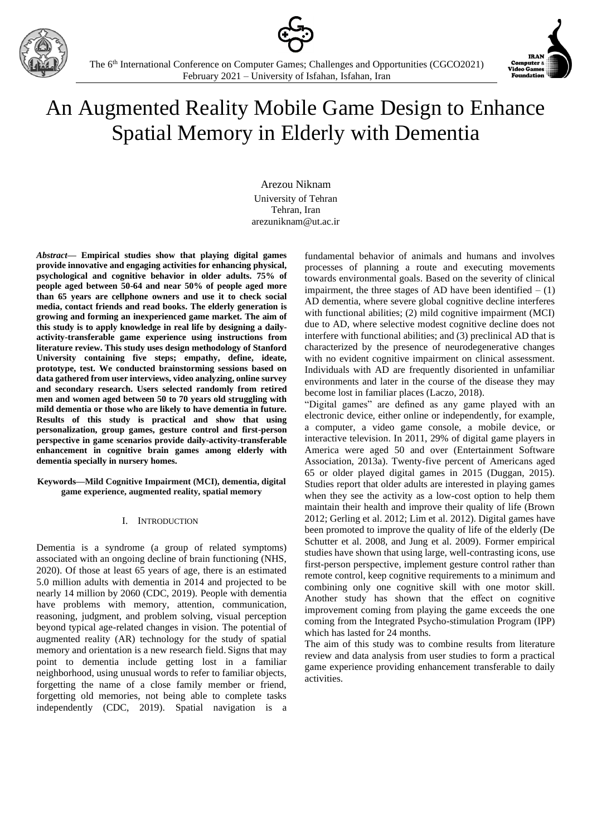





# An Augmented Reality Mobile Game Design to Enhance Spatial Memory in Elderly with Dementia

Arezou Niknam University of Tehran Tehran, Iran arezuniknam@ut.ac.ir

*Abstract***— Empirical studies show that playing digital games provide innovative and engaging activities for enhancing physical, psychological and cognitive behavior in older adults. 75% of people aged between 50-64 and near 50% of people aged more than 65 years are cellphone owners and use it to check social media, contact friends and read books. The elderly generation is growing and forming an inexperienced game market. The aim of this study is to apply knowledge in real life by designing a dailyactivity-transferable game experience using instructions from literature review. This study uses design methodology of Stanford University containing five steps; empathy, define, ideate, prototype, test. We conducted brainstorming sessions based on data gathered from user interviews, video analyzing, online survey and secondary research. Users selected randomly from retired men and women aged between 50 to 70 years old struggling with mild dementia or those who are likely to have dementia in future. Results of this study is practical and show that using personalization, group games, gesture control and first-person perspective in game scenarios provide daily-activity-transferable enhancement in cognitive brain games among elderly with dementia specially in nursery homes.**

#### **Keywords—Mild Cognitive Impairment (MCI), dementia, digital game experience, augmented reality, spatial memory**

# I. INTRODUCTION

Dementia is a syndrome (a group of related symptoms) associated with an ongoing decline of brain functioning (NHS, 2020). Of those at least 65 years of age, there is an estimated 5.0 million adults with dementia in 2014 and projected to be nearly 14 million by 2060 (CDC, 2019). People with dementia have problems with memory, attention, communication, reasoning, judgment, and problem solving, visual perception beyond typical age-related changes in vision. The potential of augmented reality (AR) technology for the study of spatial memory and orientation is a new research field. Signs that may point to dementia include getting lost in a familiar neighborhood, using unusual words to refer to familiar objects, forgetting the name of a close family member or friend, forgetting old memories, not being able to complete tasks independently (CDC, 2019). Spatial navigation is a fundamental behavior of animals and humans and involves processes of planning a route and executing movements towards environmental goals. Based on the severity of clinical impairment, the three stages of AD have been identified  $- (1)$ AD dementia, where severe global cognitive decline interferes with functional abilities; (2) mild cognitive impairment (MCI) due to AD, where selective modest cognitive decline does not interfere with functional abilities; and (3) preclinical AD that is characterized by the presence of neurodegenerative changes with no evident cognitive impairment on clinical assessment. Individuals with AD are frequently disoriented in unfamiliar environments and later in the course of the disease they may become lost in familiar places (Laczo, 2018).

"Digital games" are defined as any game played with an electronic device, either online or independently, for example, a computer, a video game console, a mobile device, or interactive television. In 2011, 29% of digital game players in America were aged 50 and over (Entertainment Software Association, 2013a). Twenty-five percent of Americans aged 65 or older played digital games in 2015 (Duggan, 2015). Studies report that older adults are interested in playing games when they see the activity as a low-cost option to help them maintain their health and improve their quality of life (Brown 2012; Gerling et al. 2012; Lim et al. 2012). Digital games have been promoted to improve the quality of life of the elderly (De Schutter et al. 2008, and Jung et al. 2009). Former empirical studies have shown that using large, well-contrasting icons, use first-person perspective, implement gesture control rather than remote control, keep cognitive requirements to a minimum and combining only one cognitive skill with one motor skill. Another study has shown that the effect on cognitive improvement coming from playing the game exceeds the one coming from the Integrated Psycho-stimulation Program (IPP) which has lasted for 24 months.

The aim of this study was to combine results from literature review and data analysis from user studies to form a practical game experience providing enhancement transferable to daily activities.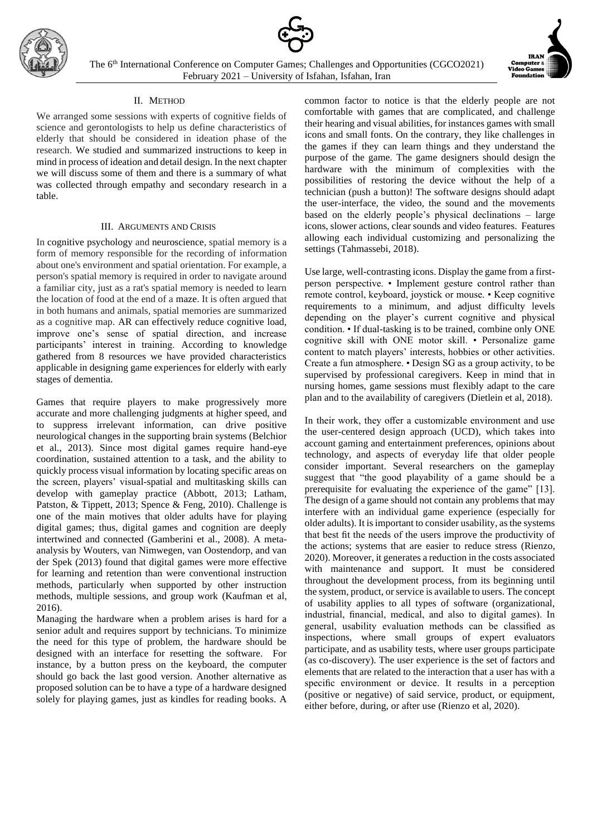



## II. METHOD

We arranged some sessions with experts of cognitive fields of science and gerontologists to help us define characteristics of elderly that should be considered in ideation phase of the research. We studied and summarized instructions to keep in mind in process of ideation and detail design. In the next chapter we will discuss some of them and there is a summary of what was collected through empathy and secondary research in a table.

## III. ARGUMENTS AND CRISIS

In cognitive psychology and neuroscience, spatial memory is a form of memory responsible for the recording of information about one's environment and spatial orientation. For example, a person's spatial memory is required in order to navigate around a familiar city, just as a rat's spatial memory is needed to learn the location of food at the end of a maze. It is often argued that in both humans and animals, spatial memories are summarized as a cognitive map. AR can effectively reduce cognitive load, improve one's sense of spatial direction, and increase participants' interest in training. According to knowledge gathered from 8 resources we have provided characteristics applicable in designing game experiences for elderly with early stages of dementia.

Games that require players to make progressively more accurate and more challenging judgments at higher speed, and to suppress irrelevant information, can drive positive neurological changes in the supporting brain systems (Belchior et al., 2013). Since most digital games require hand-eye coordination, sustained attention to a task, and the ability to quickly process visual information by locating specific areas on the screen, players' visual-spatial and multitasking skills can develop with gameplay practice (Abbott, 2013; Latham, Patston, & Tippett, 2013; Spence & Feng, 2010). Challenge is one of the main motives that older adults have for playing digital games; thus, digital games and cognition are deeply intertwined and connected (Gamberini et al., 2008). A metaanalysis by Wouters, van Nimwegen, van Oostendorp, and van der Spek (2013) found that digital games were more effective for learning and retention than were conventional instruction methods, particularly when supported by other instruction methods, multiple sessions, and group work (Kaufman et al, 2016).

Managing the hardware when a problem arises is hard for a senior adult and requires support by technicians. To minimize the need for this type of problem, the hardware should be designed with an interface for resetting the software. For instance, by a button press on the keyboard, the computer should go back the last good version. Another alternative as proposed solution can be to have a type of a hardware designed solely for playing games, just as kindles for reading books. A common factor to notice is that the elderly people are not comfortable with games that are complicated, and challenge their hearing and visual abilities, for instances games with small icons and small fonts. On the contrary, they like challenges in the games if they can learn things and they understand the purpose of the game. The game designers should design the hardware with the minimum of complexities with the possibilities of restoring the device without the help of a technician (push a button)! The software designs should adapt the user-interface, the video, the sound and the movements based on the elderly people's physical declinations – large icons, slower actions, clear sounds and video features. Features allowing each individual customizing and personalizing the settings (Tahmassebi, 2018).

Use large, well-contrasting icons. Display the game from a firstperson perspective. • Implement gesture control rather than remote control, keyboard, joystick or mouse. • Keep cognitive requirements to a minimum, and adjust difficulty levels depending on the player's current cognitive and physical condition. • If dual-tasking is to be trained, combine only ONE cognitive skill with ONE motor skill. • Personalize game content to match players' interests, hobbies or other activities. Create a fun atmosphere. • Design SG as a group activity, to be supervised by professional caregivers. Keep in mind that in nursing homes, game sessions must flexibly adapt to the care plan and to the availability of caregivers (Dietlein et al, 2018).

In their work, they offer a customizable environment and use the user-centered design approach (UCD), which takes into account gaming and entertainment preferences, opinions about technology, and aspects of everyday life that older people consider important. Several researchers on the gameplay suggest that "the good playability of a game should be a prerequisite for evaluating the experience of the game" [13]. The design of a game should not contain any problems that may interfere with an individual game experience (especially for older adults). It is important to consider usability, as the systems that best fit the needs of the users improve the productivity of the actions; systems that are easier to reduce stress (Rienzo, 2020). Moreover, it generates a reduction in the costs associated with maintenance and support. It must be considered throughout the development process, from its beginning until the system, product, or service is available to users. The concept of usability applies to all types of software (organizational, industrial, financial, medical, and also to digital games). In general, usability evaluation methods can be classified as inspections, where small groups of expert evaluators participate, and as usability tests, where user groups participate (as co-discovery). The user experience is the set of factors and elements that are related to the interaction that a user has with a specific environment or device. It results in a perception (positive or negative) of said service, product, or equipment, either before, during, or after use (Rienzo et al, 2020).

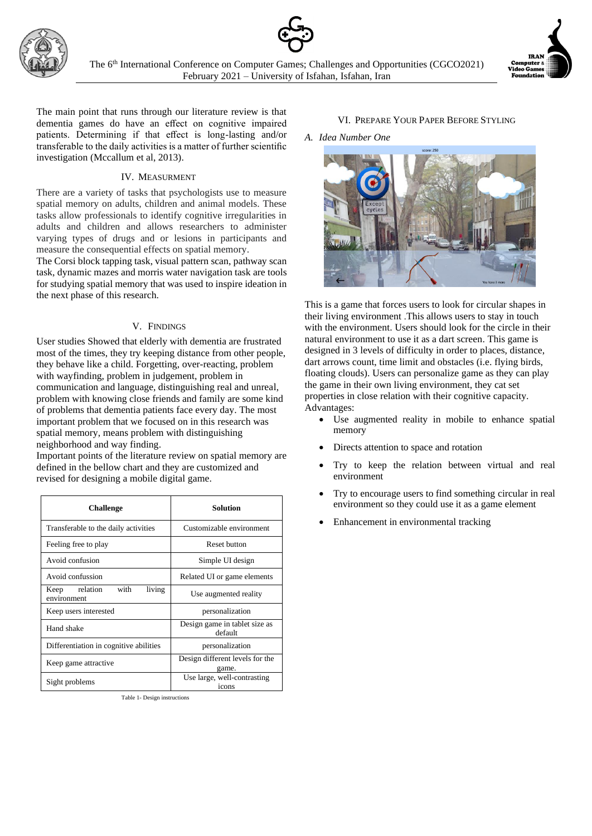



The main point that runs through our literature review is that dementia games do have an effect on cognitive impaired patients. Determining if that effect is long-lasting and/or transferable to the daily activities is a matter of further scientific investigation (Mccallum et al, 2013).

## IV. MEASURMENT

There are a variety of tasks that psychologists use to measure spatial memory on adults, children and animal models. These tasks allow professionals to identify cognitive irregularities in adults and children and allows researchers to administer varying types of drugs and or lesions in participants and measure the consequential effects on spatial memory.

The Corsi block tapping task, visual pattern scan, pathway scan task, dynamic mazes and morris water navigation task are tools for studying spatial memory that was used to inspire ideation in the next phase of this research.

## V. FINDINGS

User studies Showed that elderly with dementia are frustrated most of the times, they try keeping distance from other people, they behave like a child. Forgetting, over-reacting, problem with wayfinding, problem in judgement, problem in communication and language, distinguishing real and unreal, problem with knowing close friends and family are some kind of problems that dementia patients face every day. The most important problem that we focused on in this research was spatial memory, means problem with distinguishing neighborhood and way finding.

Important points of the literature review on spatial memory are defined in the bellow chart and they are customized and revised for designing a mobile digital game.

| <b>Challenge</b>                            | Solution                                 |
|---------------------------------------------|------------------------------------------|
| Transferable to the daily activities        | Customizable environment                 |
| Feeling free to play                        | Reset button                             |
| Avoid confusion                             | Simple UI design                         |
| Avoid confussion                            | Related UI or game elements              |
| Keep relation with<br>living<br>environment | Use augmented reality                    |
| Keep users interested                       | personalization                          |
| Hand shake                                  | Design game in tablet size as<br>default |
| Differentiation in cognitive abilities      | personalization                          |
| Keep game attractive                        | Design different levels for the<br>game. |
| Sight problems                              | Use large, well-contrasting<br>icons     |

Table 1- Design instructions

# VI. PREPARE YOUR PAPER BEFORE STYLING

*A. Idea Number One*



This is a game that forces users to look for circular shapes in their living environment .This allows users to stay in touch with the environment. Users should look for the circle in their natural environment to use it as a dart screen. This game is designed in 3 levels of difficulty in order to places, distance, dart arrows count, time limit and obstacles (i.e. flying birds, floating clouds). Users can personalize game as they can play the game in their own living environment, they cat set properties in close relation with their cognitive capacity. Advantages:

- Use augmented reality in mobile to enhance spatial memory
- Directs attention to space and rotation
- Try to keep the relation between virtual and real environment
- Try to encourage users to find something circular in real environment so they could use it as a game element
- Enhancement in environmental tracking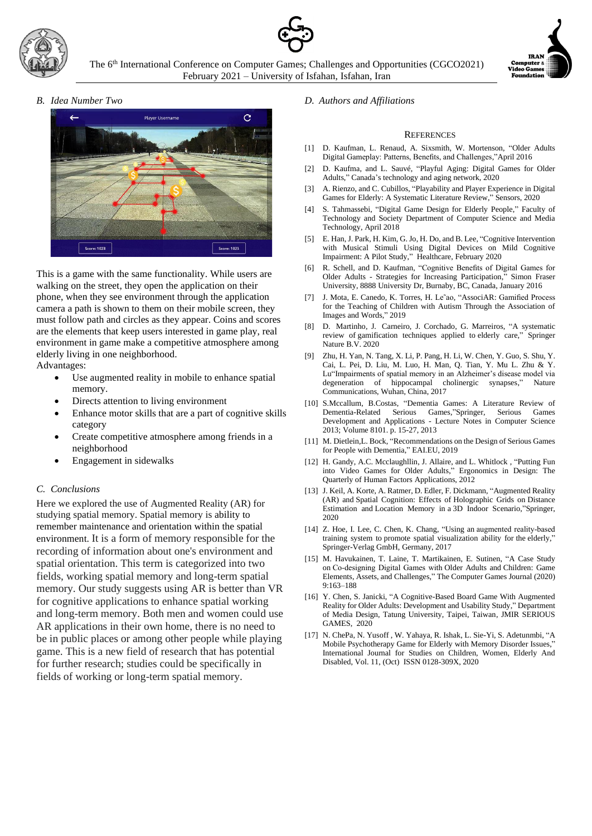



*B. Idea Number Two*



This is a game with the same functionality. While users are walking on the street, they open the application on their phone, when they see environment through the application camera a path is shown to them on their mobile screen, they must follow path and circles as they appear. Coins and scores are the elements that keep users interested in game play, real environment in game make a competitive atmosphere among elderly living in one neighborhood.

Advantages:

- Use augmented reality in mobile to enhance spatial memory.
- Directs attention to living environment
- Enhance motor skills that are a part of cognitive skills category
- Create competitive atmosphere among friends in a neighborhood
- Engagement in sidewalks

## *C. Conclusions*

Here we explored the use of Augmented Reality (AR) for studying spatial memory. Spatial memory is ability to remember maintenance and orientation within the spatial environment. It is a form of memory responsible for the recording of information about one's environment and spatial orientation. This term is categorized into two fields, working spatial memory and long-term spatial memory. Our study suggests using AR is better than VR for cognitive applications to enhance spatial working and long-term memory. Both men and women could use AR applications in their own home, there is no need to be in public places or among other people while playing game. This is a new field of research that has potential for further research; studies could be specifically in fields of working or long-term spatial memory.

#### *D. Authors and Affiliations*

#### **REFERENCES**

- [1] D. Kaufman, L. Renaud, A. Sixsmith, W. Mortenson, "Older Adults Digital Gameplay: Patterns, Benefits, and Challenges,"April 2016
- [2] D. Kaufma, and L. Sauvé, "Playful Aging: Digital Games for Older Adults," Canada's technology and aging network, 2020
- [3] A. Rienzo, and C. Cubillos, "Playability and Player Experience in Digital Games for Elderly: A Systematic Literature Review," Sensors, 2020
- [4] S. Tahmassebi, "Digital Game Design for Elderly People," Faculty of Technology and Society Department of Computer Science and Media Technology, April 2018
- [5] E. Han, J. Park, H. Kim, G. Jo, H. Do, and B. Lee, "Cognitive Intervention with Musical Stimuli Using Digital Devices on Mild Cognitive Impairment: A Pilot Study," Healthcare, February 2020
- [6] R. Schell, and D. Kaufman, "Cognitive Benefits of Digital Games for Older Adults - Strategies for Increasing Participation," Simon Fraser University, 8888 University Dr, Burnaby, BC, Canada, January 2016
- [7] J. Mota, E. Canedo, K. Torres, H. Le˜ao, "AssociAR: Gamified Process for the Teaching of Children with Autism Through the Association of Images and Words," 2019
- [8] D. Martinho, J. Carneiro, J. Corchado, G. Marreiros, "A systematic review of gamification techniques applied to elderly care," Springer Nature B.V. 2020
- [9] Zhu, H. Yan, N. Tang, X. Li, P. Pang, H. Li, W. Chen, Y. Guo, S. Shu, Y. Cai, L. Pei, D. Liu, M. Luo, H. Man, Q. Tian, Y. Mu L. Zhu & Y. Lu"Impairments of spatial memory in an Alzheimer's disease model via degeneration of hippocampal cholinergic synapses," Nature Communications, Wuhan, China, 2017
- [10] S.Mccallum, B.Costas, "Dementia Games: A Literature Review of Dementia-Related Serious Games,"Springer, Serious Games Development and Applications - Lecture Notes in Computer Science 2013; Volume 8101. p. 15-27, 2013
- [11] M. Dietlein, L. Bock, "Recommendations on the Design of Serious Games for People with Dementia," EAI.EU, 2019
- [12] H. Gandy, A.C. Mcclaughllin, J. Allaire, and L. Whitlock , "Putting Fun into Video Games for Older Adults," Ergonomics in Design: The Quarterly of Human Factors Applications, 2012
- [13] J. Keil, A. Korte, A. Ratmer, D. Edler, F. Dickmann, "Augmented Reality (AR) and Spatial Cognition: Effects of Holographic Grids on Distance Estimation and Location Memory in a 3D Indoor Scenario,"Springer, 2020
- [14] Z. Hoe, I. Lee, C. Chen, K. Chang, "Using an augmented reality-based training system to promote spatial visualization ability for the elderly," Springer-Verlag GmbH, Germany, 2017
- [15] M. Havukainen, T. Laine, T. Martikainen, E. Sutinen, "A Case Study on Co‑designing Digital Games with Older Adults and Children: Game Elements, Assets, and Challenges," The Computer Games Journal (2020) 9:163–188
- [16] Y. Chen, S. Janicki, "A Cognitive-Based Board Game With Augmented Reality for Older Adults: Development and Usability Study," Department of Media Design, Tatung University, Taipei, Taiwan, JMIR SERIOUS GAMES, 2020
- [17] N. ChePa, N. Yusoff , W. Yahaya, R. Ishak, L. Sie-Yi, S. Adetunmbi, "A Mobile Psychotherapy Game for Elderly with Memory Disorder Issues," International Journal for Studies on Children, Women, Elderly And Disabled, Vol. 11, (Oct) ISSN 0128-309X, 2020